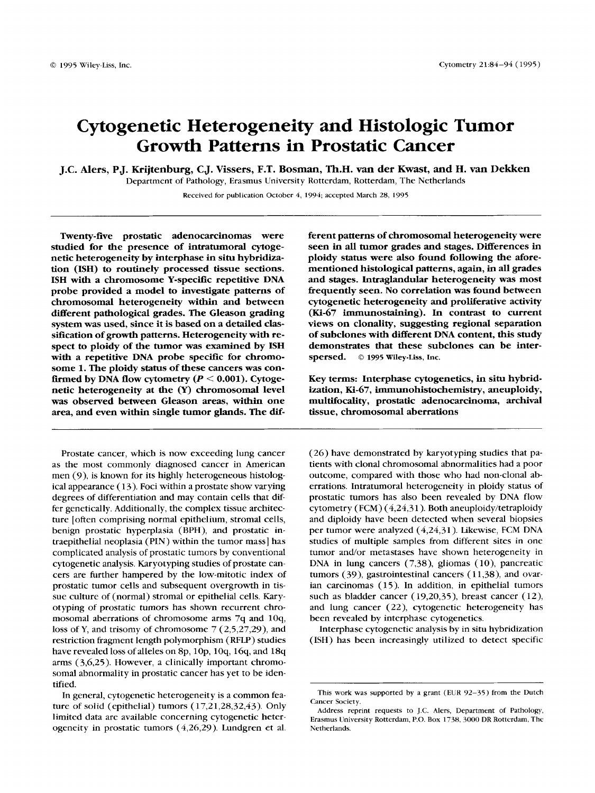# Cytogenetic Heterogeneity and Histologic Tumor Growth Patterns in Prostatic Cancer

**J.C. Alers, PJ. Krijtenburg, CJ. Vissers, F.T. Bosman, Th.H.** van **der Kwast, and H. van Dekken** 

Department of Pathology, Erasmus University Rotterdam, Rotterdam, The Netherlands

Received for publication October 4, 1994, accepted March 28, **I995** 

Twenty-five prostatic adenocarcinomas were studied for the presence of intratumoral cytogenetic heterogeneity by interphase in situ hybridization (ISH) to routinely processed tissue sections. ISH with a chromosome Y-specific repetitive DNA probe provided a model to investigate patterns of chromosomal heterogeneity within and between different pathological grades. The Gleason grading system was used, since it is based on a detailed classification of growth patterns. Heterogeneity with respect to ploidy of the tumor was examined by ISH with a repetitive DNA probe specific for chromosome 1. The ploidy status of these cancers was confirmed by DNA flow cytometry *(P* < 0.001). Cytogenetic heterogeneity at the (Y) chromosomal level was observed between Gleason areas, within one area, and even within single tumor glands. The **dif-**

Prostate cancer, which is now exceeding lung cancer as the most commonly diagnosed cancer in American men *(9),* is known for its highly heterogeneous histolog ical appearance ( *13).* Foci within a prostate show varying degrees of differentiation and may contain cells that differ genetically. Additionally, the complex tissue architecture [often comprising normal epithelium, stromal cells, benign prostatic hyperplasia (BPH), and prostatic intraepithelial neoplasia (PIN) within the tumor mass] has complicated analysis of prostatic tumors by conventional cytogenetic analysis. Karyotyping studies of prostate cancers are further hampered by the low-mitotic index of prostatic tumor cells and subsequent overgrowth in tissue culture of (normal) stromal or epithelial cells. Karyotyping of prostatic tumors has shown recurrent chromosomal aberrations of chromosome arms 7q and **1Oq,**  loss of Y, and trisomy of chromosome 7 *(2,5,27,29),* and restriction fragment length polymorphism (RFLP) studies have revealed **loss** of alleles on 8p, lop, loq, *16q,* and **18q**  arms *(3,6,25).* However, a clinically important chromosomal abnormality in prostatic cancer has yet to be identified.

In general, cytogenetic heterogeneity is a common feature of solid (epithelial) tumors *(17,21,28,32,43).* Only limited data are available concerning cytogenetic heterogeneity in prostatic tumors *(4,26,29).* Lundgren et al. ferent patterns of chromosomal heterogeneity were seen in all tumor grades and stages. Differences in ploidy status were also found following the aforementioned histological patterns, again, in all grades and stages. Intraglandular heterogeneity was most frequently seen. No correlation was found between cytogenetic heterogeneity and proliferative activity (Ki-67 immunostaining). **In** contrast to current views on clonality, suggesting regional separation of subclones with different DNA content, this study demonstrates that these subclones can be interspersed. *o* **1995 wiley-Liss, hc.** 

Key terms: Interphase cytogenetics, in situ hybridization, Ki-67, immunohistochemistry, aneuploidy, multifocality, prostatic adenocarcinoma, archival tissue, chromosomal aberrations

*(26)* have demonstrated by karyotyping studies that patients with clonal chromosomal abnormalities had a poor outcome, compared with those who had non-clonal aberrations. Intratumoral heterogeneity in ploidy status of prostatic tumors has also been revealed by DNA flow cytometry (FCM) *(4,243* 1 ). Both aneuploidy/tetraploidy and diploidy have been detected when several biopsies per tumor were analyzed *(4,24,31).* Likewise, FCM DNA studies of multiple samples from different sites in one tumor and/or metastases have shown heterogeneity in DNA in lung cancers (7,38), gliomas (10), pancreatic tumors (39), gastrointestinal cancers ( *11,38),* and ovarian carcinomas ( 15). In addition, in epithelial tumors such as bladder cancer *(19,20,35),* breast cancer *(12),*  and lung cancer *(22),* cytogenetic heterogeneity has been revealed by interphase cytogenetics.

Interphase cytogenetic analysis by in situ hybridization (ISH) has been increasingly utilized to detect specific

This work was supported by a grant (EUR 92-35) from the Dutch Cancer Society.

Address reprint requests to J.C. Alers, Department of Pathology, Erasmus University Rotterdam, P.O. Box 1738, 3000 DR Rotterdam, The Netherlands.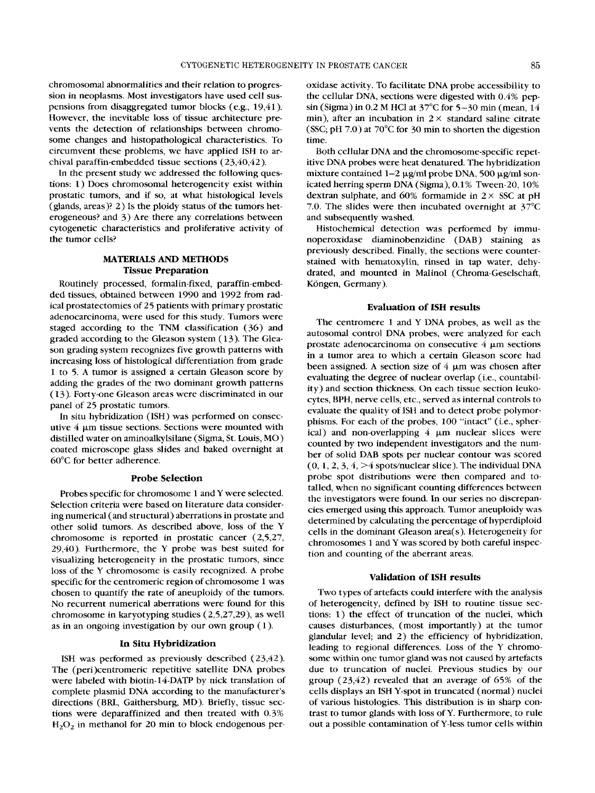chromosomal abnormalities and their relation to progression in neoplasms. Most investigators have used cell suspensions from disaggregated tumor blocks (e.g., 19,41). However, the inevitable loss of tissue architecture prevents the detection of relationships between chromosome changes and histopathological characteristics. To circumvent these problems, we have applied ISH to archival paraffin-embedded tissue sections (23,40,42).

In the present study we addressed the following questions: 1) Does chromosomal heterogeneity exist within prostatic tumors, and if so, at what histological levels (glands, areas)? 2) Is the ploidy status of the tumors heterogeneous? and 3) Are there any correlations between cytogenetic characteristics and proliferative activity of the tumor cells?

# **MATERLALS** *AND* **METHODS Tissue Preparation**

Routinely processed, formalin-fixed, paraffin-embedded tissues, obtained between 1990 and 1992 from radical prostatectomies of 25 patients with primary prostatic adenocarcinoma, were used for this study. Tumors were staged according to the TNM classification (36) and graded according to the Gleason system ( 13). The Gleason grading system recognizes five growth patterns with increasing loss of histological differentiation from grade 1 to 5. A tumor is assigned a certain Gleason score by adding the grades of the two dominant growth patterns (13). Forty-one Gleason areas were discriminated in our panel of 25 prostatic tumors.

In situ hybridization (ISH) was performed on consecutive 4 pm tissue sections. Sections were mounted with distilled water on aminoalkylsilane (Sigma, St. Louis, MO) coated microscope glass slides and baked overnight at 60°C for better adherence.

#### **Probe Selection**

Probes specific for chromosome 1 and Y were selected. Selection criteria were based on literature data considering numerical (and structural) aberrations in prostate and other solid tumors. As described above, loss of the Y chromosome is reported in prostatic cancer (2,5,27, 29,40). Furthermore, the Y probe was best suited for visualizing heterogeneity in the prostatic tumors, since loss of the Y chromosome is easily recognized. A probe specific for the centromeric region of chromosome **1** was chosen to quantify the rate of aneuploidy of the tumors. No recurrent numerical aberrations were found for this chromosome in karyotyping studies (2,5,27,29), as well as in an ongoing investigation by our own group (1).

# **In Situ Hybridization**

ISH was performed as previously described (23,42). The (peri)centromeric repetitive satellite DNA probes were labeled with biotin- 14-DATP by nick translation of complete plasmid DNA according to the manufacturer's directions (BRL, Gaithersburg, MD). Briefly, tissue sections were deparaffinized and then treated with 0.3%  $H_2O_2$  in methanol for 20 min to block endogenous peroxidase activity. To facilitate DNA probe accessibility to the cellular DNA, sections were digested with 0.4% pepsin (Sigma) in 0.2 M HC1 at 37°C for 5-30 min (mean, 14 min), after an incubation in  $2 \times$  standard saline citrate (SSC; pH 7.0) at 70°C for 30 min to shorten the digestion time.

Both cellular DNA and the chromosome-specific repetitive DNA probes were heat denatured. The hybridization mixture contained  $1-2 \mu g$ /ml probe DNA, 500  $\mu g$ /ml sonicated herring sperm DNA (Sigma), 0.1% Tween-20, 10% dextran sulphate, and  $60\%$  formamide in  $2 \times$  SSC at pH 7.0. The slides were then incubated overnight at 37°C and subsequently washed.

Histochemical detection was performed by immunoperoxidase diaminobenzidine (DAB) staining as previously described. Finally, the sections were counterstained with hematoxylin, rinsed in tap water, dehydrated, and mounted in Malinol (Chroma-Geselschaft, Köngen, Germany).

#### **Evaluation of ISH results**

The centromere 1 and Y DNA probes, as well as the autosomal control DNA probes, were analyzed for each prostate adenocarcinoma on consecutive  $4 \mu m$  sections in a tumor area to which a certain Gleason score had been assigned. A section size of 4 μm was chosen after evaluating the degree of nuclear overlap (i.e., countability) and section thickness. On each tissue section leukocytes, BPH, nerve cells, etc., served as internal controls to evaluate the quality of 1SH and to detect probe polymorphisms. For each of the probes, 100 "intact" (i.e., spherical) and non-overlapping 4 um nuclear slices were counted by two independent investigators and the number of solid DAB spots per nuclear contour was scored  $(0, 1, 2, 3, 4, \geq 4$  spots/nuclear slice). The individual DNA probe spot distributions were then compared and totalled, when no significant counting differences between the investigators were found. In our series no discrepancies emerged using this approach. Tumor aneuploidy was determined by calculating the percentage of hyperdiploid cells in the dominant Gleason area( s). Heterogeneity for chromosomes 1 and Y was scored by both careful inspection and counting of the aberrant areas.

#### **Validation of ISH results**

Two types of artefacts could interfere with the analysis of heterogeneity, defined by ISH to routine tissue sections: 1) the effect of truncation of the nuclei, which causes disturbances, (most importantly) at the tumor glandular level; and 2) the efficiency of hybridization, leading to regional differences. Loss of the Y chromosome within one tumor gland was not caused by artefacts due to truncation of nuclei. Previous studies by our group (23,42) revealed that an average of 65% of the cells displays an ISH Y-spot in truncated (normal) nuclei of various histologies. This distribution is in sharp contrast to tumor glands with loss of Y. Furthermore, to rule out a possible contamination of Y-less tumor cells within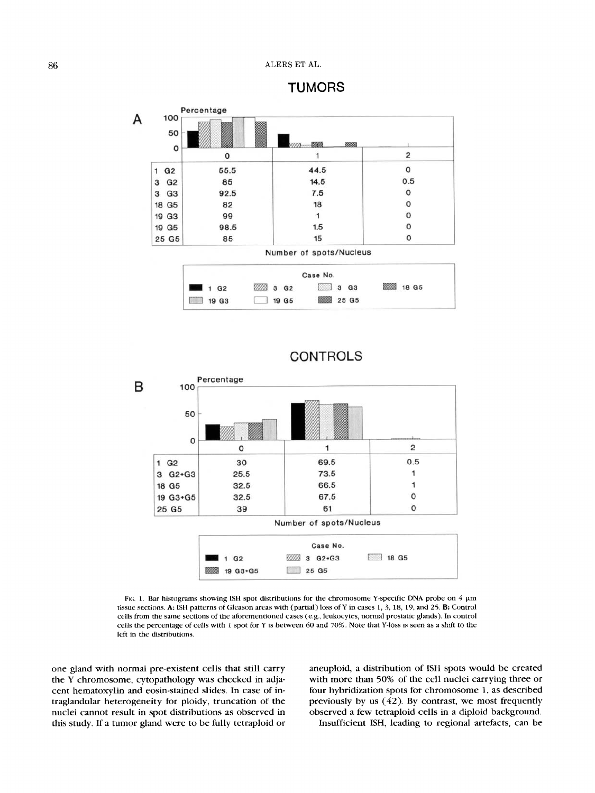TUMORS







**CONTROLS** 

FIG. 1. Bar histograms showing ISH spot distributions for the chromosome Y-specific DNA probe on 4  $\mu$ m tissue sections. *A* ISH patterns of Gleason areas with (partial) loss ofY in cases **1,** *3,* **18,** 19, and *25.* B: Control cells from the same sections of the aforementioned cases (e.g., leukocytes, normal prostatic glands). In control cells the percentage of *cells* with 1 spot for Y is between **60** and 70%. Note that Y-loss is seen **as** a shift to **the**  left in the distributions.

one gland with normal pre-existent cells that still carry the Y chromosome, cytopathology was checked in adjacent hematoxylin and eosin-stained slides. In case of intraglandular heterogeneity for ploidy, truncation of the nuclei cannot result in spot distributions as observed in this study. If a tumor gland were to be fully tetraploid or aneuploid, a distribution of ISH spots would be created with more than 50% of the cell nuclei carrying three or four hybridization spots for chromosome 1, as described previously by us (42). By contrast, we most frequently observed a few tetraploid cells in a diploid background. Insufficient ISH, leading to regional artefacts, can be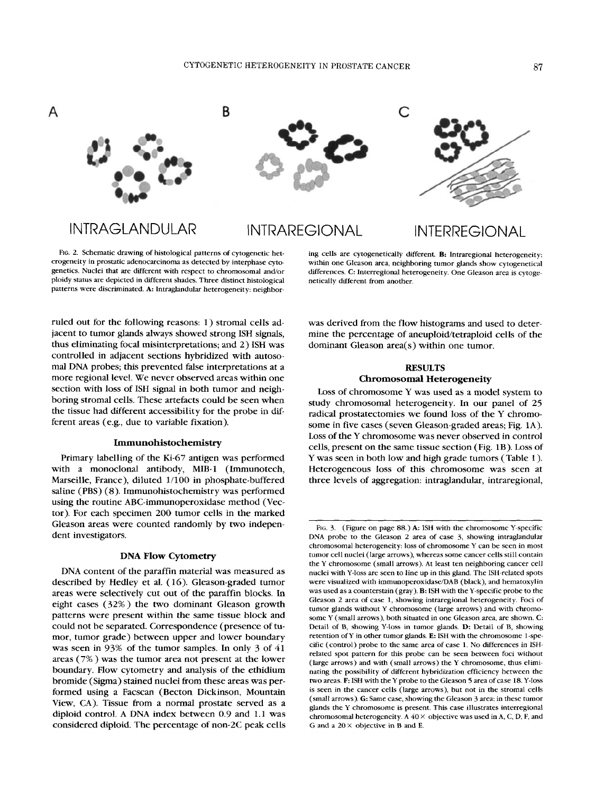

# INTRAGLANDULAR INTRAREGIONAL

INTERREGIONAL

FIG. *2.* Schematic drawing of histological patterns of cytogenetic heterogeneity in prostatic adenocarcinoma as detected by interphase cytogenetics. Nuclei that are different with respect to chromosomal and/or ploidy status are depicted in different shades. Three distinct histological patterns were discriminated. A: Intraglandular heterogeneity: neighbor-

ing cells are cytogenetically different. B: Intraregional heterogeneity: within one Gleason area, neighboring tumor glands show cytogenetical differences. C: Interregional heterogeneity. One Gleason area is cytogenetically different from another.

ruled out for the following reasons: **1)** stromal cells adjacent to tumor glands always showed strong ISH signals, thus eliminating focal misinterpretations; and 2) ISH was controlled in adjacent sections hybridized with autosomal **DNA** probes; this prevented false interpretations at a more regional level. We never observed areas within one section with loss of ISH signal in both tumor and neighboring stromal cells. These artefacts could be seen when the tissue had different accessibility for the probe in different areas (e.g., due to variable fixation).

#### **Immunohistochemistry**

Primary labelling of the Ki-67 antigen was performed with a monoclonal antibody, MIB-1 (Immunotech, Marseille, France), diluted **1/100** in phosphate-buffered saline (PBS) (8). Immunohistochemistry was performed using the routine ABC-immunoperoxidase method (Vector). For each specimen 200 tumor cells in the marked Gleason areas were counted randomly by two independent investigators.

#### **DNA Flow Cytometry**

**DNA** content **of** the paraffin material was measured as described by Hedley et al. **(16).** Gleason-graded tumor areas were selectively cut out of the paraffin blocks. In eight cases (32%) the two dominant Gleason growth patterns were present within the same tissue block and could not be separated. Correspondence (presence of tumor, tumor grade) between upper and lower boundary was seen in 93% of the tumor samples. In only 3 of 41 areas (7% ) was the tumor area not present at the lower boundary. Flow cytometry and analysis of the ethidium bromide (Sigma) stained nuclei from these areas was performed using a Facscan (Becton Dickinson, Mountain View, CA). Tissue from a normal prostate served as a diploid control. **A DNA** index between 0.9 and **1.1** was considered diploid. The percentage of non-2C peak cells was derived from the flow histograms and used to determine the percentage of aneuploid/tetraploid cells of the dominant Gleason area(s) within one tumor.

# **RESULTS Chromosomal Heterogeneity**

Loss of chromosome Y was used as a model system to study chromosomal heterogeneity. In our panel of 25 radical prostatectomies we found loss of the Y chromosome in five cases (seven Gleason-graded areas; Fig. **1A).**  Loss of the Y chromosome was never observed in control cells, present on the same tissue section (Fig. **1B).** Loss of **Y** was seen in both low and high grade tumors (Table I ). Heterogeneous loss of this chromosome was seen at three levels of aggregation: intraglandular, intraregional,

FIG. 3. (Figure on page 88.) A: ISH with the chromosome Y-specific **DNA** probe to the Gleason *2* area of case 3, showing intraglandular chromosomal heterogeneity: loss of chromosome Y can be seen in most tumor cell nuclei (large arrows), whereas some cancer cells still contain the Y chromosome (small arrows). At least ten neighboring cancer cell nuclei with Y-loss are seen to line up in this gland. The ISH-related spots were visualized with immunoperoxidase/DAB (black), and hematoxylin was used as a counterstain (gray). B: ISH with the Y-specific probe to the Gleason 2 area of case 1, showing intraregional heterogeneity. Foci of tumor glands without Y chromosome (large arrows) and with chromosome Y (small arrows), both situated in one Gleason area, are shown. C: Detail of B, showing Y-loss in tumor glands. D: Detail of B, showing retention ofY in other tumor glands. **E:** ISH with the chromosome l-specific (control) probe to the same area of case 1. No differences in ISHrelated spot pattern for this probe can be seen between foci without (large arrows) and with (small arrows) the Y chromosome, thus eliminating the possibility of different hybridization efficiency between the two areas. F: ISH with the Y probe to the Gleason *5* area of case **18.** Y-loss is seen in the cancer cells (large arrows), but not in the stromal cells (small arrows). G: Same case, showing the Gleason 3 area: in these tumor glands the Y chromosome is present. This case illustrates interregional chromosomal heterogeneity. A *40* X objective was used in **A,** C, **D,** F, and G and a *20* X objective in B and E.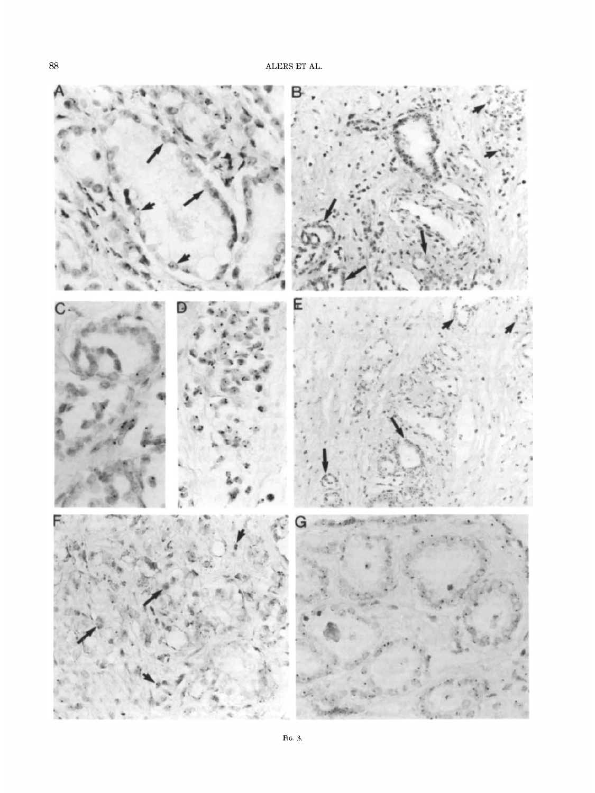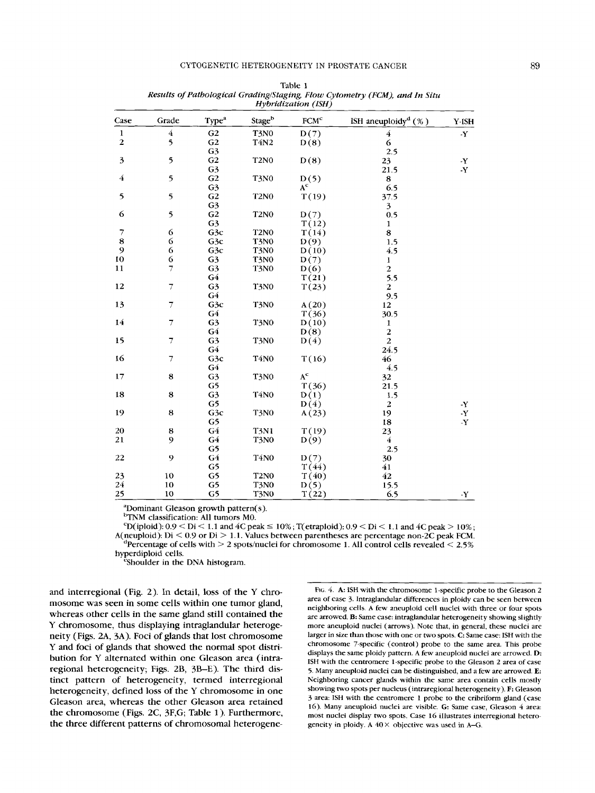|                | Grade                    |                   |                  | $\sim$<br><b>FCM<sup>c</sup></b> |                                    |                                 |
|----------------|--------------------------|-------------------|------------------|----------------------------------|------------------------------------|---------------------------------|
| Case           |                          | Type <sup>a</sup> | Stageb           |                                  | ISH aneuploidy <sup>d</sup> $(\%)$ | Y-ISH                           |
| $\mathbf 1$    | $\bf{4}$                 | G <sub>2</sub>    | <b>T3N0</b>      | D(7)                             | 4                                  | -Y                              |
| $\overline{2}$ | 5                        | G <sub>2</sub>    | T4N2             | D(8)                             | 6                                  |                                 |
|                |                          | G <sub>3</sub>    |                  |                                  | 2.5                                |                                 |
| 3              | 5                        | G <sub>2</sub>    | <b>T2N0</b>      | D(8)                             | 23                                 | $\mathbf Y$                     |
|                |                          | G <sub>3</sub>    |                  |                                  | 21.5                               | -Y                              |
| $\overline{4}$ | 5                        | G <sub>2</sub>    | <b>T3N0</b>      | D(5)                             | 8                                  |                                 |
|                |                          | G <sub>3</sub>    |                  | $A^c$                            | 6.5                                |                                 |
| 5              | 5                        | G <sub>2</sub>    | <b>T2N0</b>      | T(19)                            | 37.5                               |                                 |
|                |                          | G <sub>3</sub>    |                  |                                  | $\overline{\mathbf{3}}$            |                                 |
| 6              | 5                        | G <sub>2</sub>    | <b>T2N0</b>      | D(7)                             | 0.5                                |                                 |
|                |                          | G <sub>3</sub>    |                  | T(12)                            | $\mathbf{1}$                       |                                 |
| $\overline{7}$ | 6                        | G3c               | <b>T2N0</b>      | T(14)                            | 8                                  |                                 |
| $\bf8$         | 6                        | G3c               | T3N0             | D(9)                             | 1.5                                |                                 |
| $\mathbf{9}$   | 6                        | G3c               | <b>T3N0</b>      | D(10)                            | 4.5                                |                                 |
| 10             | 6                        | G <sub>3</sub>    | <b>T3N0</b>      | D(7)                             | 1                                  |                                 |
| 11             | $\overline{7}$           | G <sub>3</sub>    | <b>T3N0</b>      | D(6)                             | $\overline{2}$                     |                                 |
|                |                          | G4                |                  | T(21)                            | 5.5                                |                                 |
| 12             | $\overline{7}$           | G <sub>3</sub>    | <b>T3N0</b>      | T(23)                            | $\boldsymbol{2}$                   |                                 |
|                |                          | G4                |                  |                                  | 9.5                                |                                 |
| 13             | $\overline{7}$           | G <sub>3</sub> c  | T3N0             | A(20)                            | 12                                 |                                 |
|                |                          | G4                |                  | T(36)                            | 30.5                               |                                 |
| 14             | $\overline{7}$           | G <sub>3</sub>    | <b>T3N0</b>      | D(10)                            | 1                                  |                                 |
|                |                          | G4                |                  | D(8)                             | $\mathbf 2$                        |                                 |
| 15             | $\overline{7}$           | G <sub>3</sub>    | T3N0             | D(4)                             | $\overline{c}$                     |                                 |
|                |                          | G4                |                  |                                  | 24.5                               |                                 |
| 16             | $\overline{\mathcal{I}}$ | G3c               | <b>T4N0</b>      | T(16)                            | 46                                 |                                 |
|                |                          | G4                |                  |                                  | 4.5                                |                                 |
| 17             | 8                        | G <sub>3</sub>    | T3N0             | $\mathbf{A}^\mathbf{c}$          | 32                                 |                                 |
|                |                          | G5                |                  | T(36)                            | 21.5                               |                                 |
| 18             | 8                        | G <sub>3</sub>    | <b>T4N0</b>      | D(1)                             | 1.5                                |                                 |
|                |                          | G5                |                  | D(4)                             | $\boldsymbol{2}$                   | -Y                              |
| 19             | 8                        | G3c               | <b>T3N0</b>      | A(23)                            | 19                                 | $\cdot \mathbf{Y}$              |
|                |                          | G5                |                  |                                  | 18                                 | $\boldsymbol{\cdot} \mathbf{Y}$ |
| 20             | 8                        | G4                | <b>T3N1</b>      | T(19)                            | 23                                 |                                 |
| 21             | 9                        | G4                | T3N <sub>0</sub> | D(9)                             | $\overline{4}$                     |                                 |
|                |                          | G5                |                  |                                  | 2.5                                |                                 |
| 22             | 9                        | G <sub>4</sub>    | <b>T4N0</b>      | D(7)                             | 30                                 |                                 |
|                |                          | G5                |                  | T(44)                            | 41                                 |                                 |
| 23             | 10                       | G5                | <b>T2N0</b>      | T(40)                            | 42                                 |                                 |
| 24             | 10                       | G5                | T3N0             | D(5)                             | 15.5                               |                                 |
|                | 10                       |                   |                  |                                  |                                    |                                 |
| 25             |                          | G5                | <b>T3N0</b>      | T(22)                            | 6.5                                | $\cdot \mathbf{Y}$              |

Table 1 *Results of Pathological GradinglStaging, Flow Cytometry (FCM), and In Situ Hybridization (ISH)* 

"Dominant Gleason growth pattern(s).

b<sub>TNM</sub> classification: All tumors M0.

 $c_{\text{D}}(i_{\text{p}}(i_{\text{p}}) \cdot 0.9 \leq D_i \leq 1.1$  and  $4C$  peak  $\leq 10\%$ ;  $T(\text{etraploid}): 0.9 \leq D_i \leq 1.1$  and  $4C$  peak  $> 10\%$ ; A(neuploid):  $Di < 0.9$  or  $Di > 1.1$ . Values between parentheses are percentage non-2C peak FCM.  $\mu^4$ Percentage of cells with  $> 2$  spots/nuclei for chromosome 1. All control cells revealed  $< 2.5\%$ hyperdiploid cells.

<sup>e</sup>Shoulder in the DNA histogram.

and interregional (Fig. 2). In detail, loss of the Y chromosome was seen in some cells within one tumor gland, whereas other cells in the same gland still contained the Y chromosome, thus displaying intraglandular heterogeneity (Figs. **ZA, 3A).** Foci of glands that lost chromosome Y and foci of glands that showed the normal spot distribution for Y alternated within one Gleason area (intraregional heterogeneity; Figs. 2B, **3B-E).** The third distinct pattern *of* heterogeneity, termed interregional heterogeneity, defined loss of the Y chromosome in one Gleason area, whereas the other Gleason area retained the chromosome (Figs. 2C, 3F,G; Table 1). Furthermore, the three different patterns *of* chromosomal heterogene-

**FIG.** 4. A: ISH with the chromosome 1-specific probe to the Gleason 2 area of case 3. lntraglandular differences in ploidy can be seen between neighboring cells. **A** few aneuploid cell nuclei with three or four spots are arrowed. B: Same case: intraglandular heterogeneity showing slightly more aneuploid nuclei (arrows). Note that, in general, these nuclei are larger in size than those with one or **two** spots. **C:** Same case: ISH with the chromosome 7-specific (control) probe to the same area. This probe displays the same ploidy pattern. A few aneuploid nuclei are arrowed. D: ISH with the centromere 1-specific probe to the Gleason 2 area of case *5.* Many aneuploid nuclei can be distinguished, and a few are arrowed. **E:**  Neighboring cancer glands within the same area contain cells mostly showing two spots per nucleus (intraregional heterogeneity). F: Gleason 3 area: ISH with the centromere 1 probe to the cribriform gland (case **16).** Many aneuploid nuclei are visible. **G:** Same case, Gleason *4* area: most nuclei display two spots. Case **16** illustrates interregional heterogeneity in ploidy. **A** 40 *x* objective was used in **A-G.**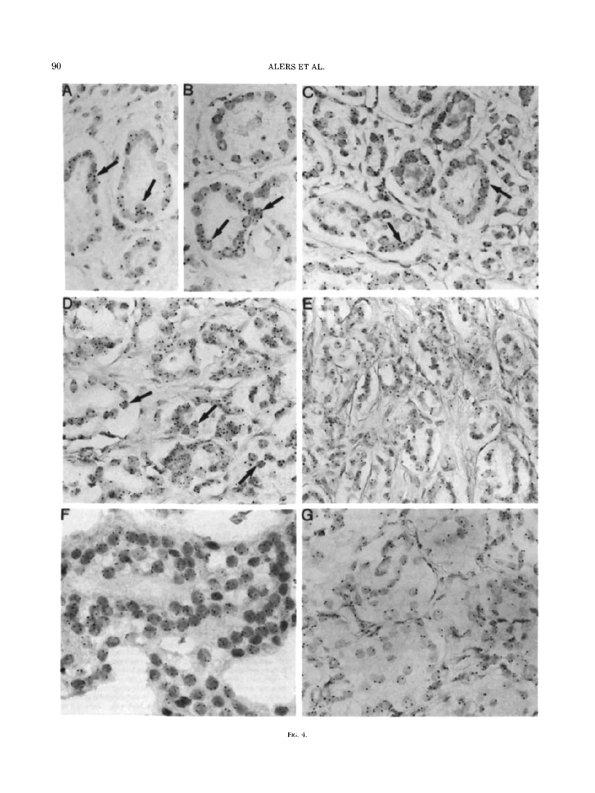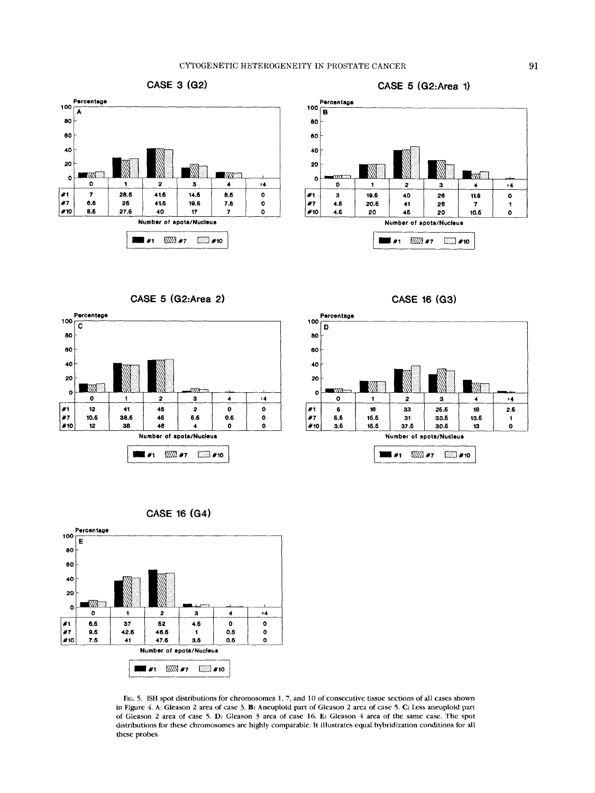



**CASE 5 (G2:Area 2)** 





CASE 16 (G3)



FIG. 5. ISH spot distributions for chromosomes **1,** 7, and 10 of consecutive tissue sections of all cases shown in Figure 4. A: Gleason 2 area of case 3. **B:** Aneuploid part of Gleason 2 area of case 5. C: Less aneuploid part of Gleason 2 area of case *5.* D: Gleason 3 area of case 16. **E:** Gleason 4 area of the same case. The spot distributions for these chromosomes are highly comparable. It illustrates equal hybridization conditions for all these probes.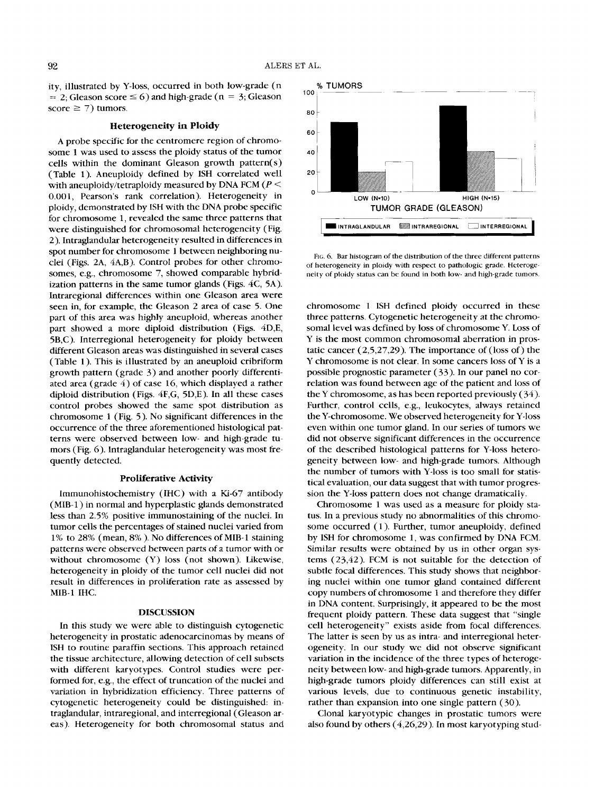ity, illustrated by Y-loss, occurred in both low-grade (n  $= 2$ ; Gleason score  $\leq 6$ ) and high-grade (n = 3; Gleason score  $\geq$  7) tumors.

# **Heterogeneity in Ploidy**

A probe specific for the centromere region of chromosome 1 was used to assess the ploidy status of the tumor cells within the dominant Gleason growth pattern( **s)**  (Table 1). Aneuploidy defined by ISH correlated well with aneuploidy/tetraploidy measured by DNA FCM ( $P \le$ 0,001, Pearson's rank correlation). Heterogeneity in ploidy, demonstrated by ISH with the DNA probe specific for chromosome 1, revealed the same three patterns that were distinguished for chromosomal heterogeneity (Fig. 2). Intraglandular heterogeneity resulted in differences in spot number for chromosome 1 between neighboring nuclei (Figs. **2A,** 4A,B). Control probes for other chromosomes, e.g., chromosome 7, showed comparable hybridization patterns in the same tumor glands (Figs. *4C,* 5A). Intraregional differences within one Gleason area were seen in, for example, the Gleason 2 area of case 5. One part of this area was highly aneuploid, whereas another part showed a more diploid distribution (Figs. 4D,E, 5B,C). Interregional heterogeneity for ploidy between different Gleason areas was distinguished in several cases (Table 1). This is illustrated by an aneuploid cribriform growth pattern (grade *3)* and another poorly differentiated area (grade 4) of case 16, which displayed a rather diploid distribution (Figs. 4F,G, 5D,E). In all these cases control probes showed the same spot distribution as chromosome **1** (Fig. 5). No significant differences in the occurrence of the three aforementioned histological patterns were observed between low- and high-grade tumors (Fig. *6).* lntraglandular heterogeneity was most frequently detected.

#### **Proliferative Activity**

Immunohistochemistry (IHC) with a Ki-67 antibody (MIB-1) in normal and hyperplastic glands demonstrated less than 2.5% positive immunostaining of the nuclei. In tumor cells the percentages of stained nuclei varied from 1 % to 28% (mean, 8% ). No differences of MIB- 1 staining patterns were observed between parts of a tumor with or without chromosome (Y) loss (not shown). Likewise, heterogeneity in ploidy of the tumor cell nuclei did not result in differences in proliferation rate as assessed by MIB-1 IHC.

#### **DISCUSSION**

In this study we were able to distinguish cytogenetic heterogeneity in prostatic adenocarcinomas by means of ISH to routine paraffin sections. This approach retained the tissue architecture, allowing detection of cell subsets with different karyotypes. Control studies were performed for, e.g., the effect of truncation of the nuclei and variation in hybridization efficiency. Three patterns of cytogenetic heterogeneity could be distinguished: intraglandular, intraregional, and interregional (Gleason areas). Heterogeneity for both chromosomal status and



**FIG.** 6. **Bar** histogram of the distribution of the three different patterns of heterogeneity in ploidy with respect to pathologic grade. Heterogeneity of ploidy status can be found in both low- and high-grade tumors.

chromosome 1 ISH defined ploidy occurred in these three patterns. Cytogenetic heterogeneity at the chromosomal level was defined by loss of chromosome Y. Loss of Y is the most common chromosomal aberration in prostatic cancer (2,5,27,29). The importance of (loss of) the Y chromosome is not clear. In some cancers loss of Y is a possible prognostic parameter *(33).* In our panel no correlation was found between age of the patient and loss of the Y chromosome, as has been reported previously *(34).*  Further, control cells, e.g., leukocytes, always retained the Y-chromosome. We observed heterogeneity for Y-loss even within one tumor gland. In our series of tumors we did not observe significant differences in the occurrence of the described histological patterns for Y-loss heterogeneity between low- and high-grade tumors. Although the number of tumors with Y-loss is too small for statistical evaluation, our data suggest that with tumor progression the Y-loss pattern does not change dramatically.

Chromosome 1 was used as a measure for ploidy status. In a previous study no abnormalities of this chromosome occurred (1). Further, tumor aneuploidy, defined by ISH for chromosome 1, was confirmed by DNA FCM. Similar results were obtained by us in other organ systems (23,42). FCM is not suitable for the detection of subtle focal differences. This study shows that neighboring nuclei within one tumor gland contained different copy numbers of chromosome 1 and therefore they differ in DNA content. Surprisingly, it appeared to be the most frequent ploidy pattern. These data suggest that "single cell heterogeneity" exists aside from focal differences. The latter is seen by us as intra- and interregional heterogeneity. In our study we did not observe significant variation in the incidence of the three types of heterogeneity between low- and high-grade tumors. Apparently, in high-grade tumors ploidy differences can still exist at various levels, due to continuous genetic instability, rather than expansion into one single pattern *(30).* 

Clonal karyotypic changes in prostatic tumors were also found by others (4,26,29). In most karyotyping stud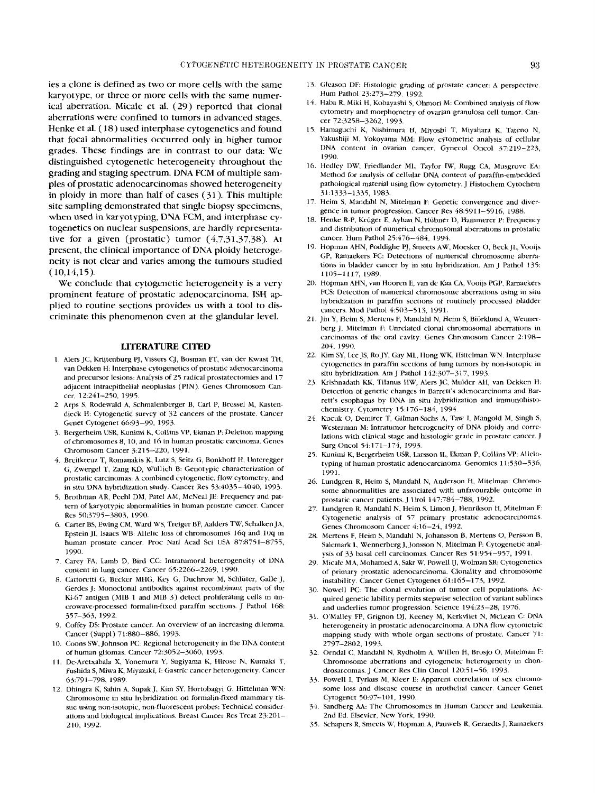ies a clone is defined as two or more cells with the same karyotype, or three or more cells with the same numerical aberration. Micale et al. **(29)** reported that clonal aberrations were confined to tumors in advanced stages. Henke et al. **(IS)** used interphase cytogenetics and found that focal abnormalities occurred only in higher tumor grades. These findings are in contrast to our data: We distinguished cytogenetic heterogeneity throughout the grading and staging spectrum. DNA **FCM** of multiple samples of prostatic adenocarcinomas showed heterogeneity in ploidy in more than half of cases (31 ). This multiple site sampling demonstrated that single biopsy specimens, when used in karyotyping, DNA FCM, and interphase cytogenetics on nuclear suspensions, are hardly representative for a given (prostatic) tumor (4,7,31,37,38). At present, the clinical importance of **DNA** ploidy heterogeneity **is** not clear and varies among the tumours studied  $(10,14,15)$ .

We conclude that cytogenetic heterogeneity is a very prominent feature of prostatic adenocarcinoma. **ISH** applied to routine sections provides us with a tool to discriminate this phenomenon even at the glandular level.

#### **LITERATURE CITED**

- 1. **Alers** JC, Krijtenburg PJ, Vissers CJ, Bosman **kT,** van der Kwast TH, van Dekken H: Interphase cytogenetics of prostatic adenocarcinoma and precursor lesions: Analysis of 25 radical prostatectomies and 17 adjacent intraepithelial neoplasias (PIN). Genes Chromosom Cancer, *12:241-250, 1995.*
- *2.* Arps **S,** Rodewald **A,** Schmalenberger B, Carl P, Brcssel M, Kastendieck H: Cytogenetic survcy of 32 cancers of the prostate. Cancer Genet Cytogenet 66:93-99, *1993.*
- 3. Bergerheim USR, Kunimi K, Collins VP, Ekman P: Deletion mapping of chromosomes 8, 10, and 16 in human prostatic carcinoma. Genes Chromosom Cancer *5215-220, 1991.*
- *4.* Breitkreuz T, Romanakis K, Lutz S, Seitz G, Bonkhoff H, llnteregger *G,* Zwergel T, Zang KD, Wullich B: Genotypic characterization of prostatic carcinomas: A combined cytogenetic, flow cytometry, and in situ DNA hybridization study. Cancer Res 53:4035-4040, 1993.
- 5. Brothman **AR,** Peehl DM, Patel AM, McNeal tern of karyotypic abnormalities in human prostate cancer. Cancer **Res** *50:3795-3803,* 1990.
- 6. Carter BS, Ewing CM, Ward WS, Treiger BF, Aalders TW, Schalken JA, Epstein JI, Isaacs WB: Allelic loss of chromosomes 16q and **1Oq** in human prostate cancer. Proc Natl Acad Sci **IJSA** *87:8751-8755,*  1990.
- 7. Carey FA, Lamb D, Bird CC: Intratumoral heterogeneity of DNA content in lung cancer. Cancer *65:2266-2269, 1990.*
- *8.* Cattoretti G, Becker MHG, Key *G,* Duchrow M, Schliiter, Galle J, Gerdes J: Monoclonal antibodies against recombinant parts of the Ki-67 antigen (MIB **1** and MIB 3) detect proliferating cells in microwave-processed formalin-fixed paraffin sections. J Pathol 168: *357-363, 1992.*
- *9.* Coffey DS: Prostate cancer. An overview of an increasing dilemma. Cancer (Suppl) 71:880-886, 1993.
- 10. Coons SW, Johnson PC: Regional heterogeneity in the DNA content of human gliomas. Cancer *725052-3060, 1993.*
- **11.** De-Aretxabala X, Yonemura Y, Sugiyama K, Hirose N, Kuniaki T, Fushida S, Miwa K, Miyazaki, I: Gastric cancer heterogeneity. Cancer **63:79** *1-798,* **1989.**
- *12.* Dhingra K, Sahin A, Supak J, Kim SY, Hortobagyi *G,* Hittelman WN: Chromosome in situ hybridization on formalin-fixed mammary tissue using non-isotopic, non-fluorescent probes: Technical considerations and biological implications. Breast Cancer Res Treat *23:20* **1-**  *210, 1992.*
- 13. Gleason DF: Histologic grading of prostate cancer: A perspective. Hum Path01 *25273-279, 1992.*
- *14.* Haha **R,** Miki H, Kobayashi S, Ohmori M: Combined analysis of flow cytometry and morphornetry of ovarian granulosa cell tumor. Cancer *725258-3262,* 1993.
- **15.** Hamaguchi K, Nishimurd H, Miyoshi T, Miyahara K, Tateno N, Yakushiji M, Yokoyama MM: Flow cytometric analysis of cellular DNA content in ovarian cancer. Gynecol Oncol 37:219-223, 1990.
- 16. Hedley DW, Friedlander MI., Taylor IW, Rugg CA, Musgrove EA: Method for analysis of cellular DNA content of paraffin-embedded pathological material using flow cytometry. J Histochem Cytochem 31 :1333-1335, 1983.
- *17.* Heim *S,* Mandahl N, Mitelman F. Genetic convergence and divergence in tumor progression. Cancer Res 48:5911-5916, **1988.**
- 18. Henke R-P, Kriiger E, Ayhan N, Huhner D, Hammerer **p:** Frequency and distribution of numerical chromosomal aberrations in prostatic cancer. Hum Pathol 25:476-484, 1994.
- **19.** Hopman AHN, Poddighe PJ, Smeets AW, Moesker 0, Beck **JT.,** Vooijs GP, Ramaekers FC: Detections of numerical chromosome aberrations in bladder cancer by in situ hybridization. Am J Pathol 135: 1105-1117, *1989.*
- 20. Hopman AHN, van Iiooren E, **van** de Kaa CA, Vooijs **PGP.** Ramaekers FCS: Detection of numerical chromosome ahcrrations using in situ hybridization in paraffin sections of routinely processed bladder cancers. Mod Pathol 4:503-513, 1991.
- 21. Jin Y, Heim S, Mertens F, Mandahl N, Heim S, Biörklund A, Wennerberg J. Mitelman F: Unrelated clonal chromosomal aberrations in carcinomas of the oral cavity. Genes Chromosom Cancer 2198- *204,* 1990.
- 22. Kim SY, Lee JS, Ro JY, Gay ML, Hong WK, Hittelman WN: Interphase cytogenetics in paraffin sections of lung tumors by non-isotopic in situ hybridization. Am J Pathol *142:307-317, 1993.*
- *23.* Krishnadath KK, Tilanus HW, Alers JC, Mulder AH, van Dekken H: Detection of genetic changes in Barrett's adenocarcinoma and Barrett's esophagus by DNA in situ hybridization and immunohistochemistry. Cytometry 15:176-184, *1994.*
- 24. Kucuk 0, Demirer T, Gilman-Sachs A, Taw I, Mangold M, Singh **S,**  Westerman M: Intratumor heterogeneity of DNA ploidy and correlations with clinical stage and histologic grade in prostate cancer. J Surg Oncol 54:171-174, 1993.
- *25.* Kunimi K, Brrgerheim **USR,** Larsson II., Ekman P, Collins VP: Allelotyping of human prostatic adenocarcinoma Genomics *1* **1 :53O-536,**  1991.
- *26.* Lundgren R, Heim **S,** Mandahl N, Anderson H, Mitelman: Chromosome abnormalities are associated with unfavourable outcome in prostatic cancer patients. J Urol 147:784-788, 1992.
- *27.* Lundgren R, Mandahl N, Heim **S,** Limon J, Henrikson H, Mitelman **F:**  Cytogenetic analysis of 57 primary prostatic adenocarcinomas Genes Chromosom Cancer *4:16-24, 1992.*
- 28. Mertens F, Heim S, Mandahl N, Johansson B, Mertens 0, Persson B, Salemark L, Wennerberg J, Jonsson N, Mitelman F: Cytogenetic analysis of *33* basal cell carcinomas. Cancer Res *51954-957,* **1991.**
- 29. Micale MA, Mohamed A, Sakr W, Powell IJ, Wolman SR: Cytogenetics of primary prostatic adenocarcinoma. Clonality and chromosome instability. Cancer Genet Cytogenet *61:165-173,* 1992.
- 30. Nowell PC: The clonal evolution of tumor cell populations. Acquired genetic lability permits stepwise selection of variant sublincs and underlies tumor progression Science *194:23-28,* 1976.
- **31.** O'Malley FP, Grignon DJ, Keeney M, Kerkvliet N, McLean *C:* DNA heterogeneity in prostatic adenocarcinoma. A DNA flow cytometric mapping study with whole organ sections of prostate. Cancer 71: *2797-2802,* 1993.
- *32.* Orndal C, Mandahl N, Rydholm A, Willen H, Brosjo 0, Mitelman **F:**  Chromosome aberrations and cytogenetic heterogeneity in chondrosarcomas. J Cancer Res Clin Oncol *120:51-56,* 1993.
- *33.* Powell I, Tyrkus M, Kleer E: Apparent correlation of sex chromosome loss and disease course in urothelial cancer. Cancer Genet Cytogenet 50:97-101, 1990.
- 34. Sandberg AA: The Chromosomes in Human Cancer and Leukemia. 2nd Ed. Elsevier, New York, *1990.*
- 35. Schapers R, Smeets W, Hopman A, Pauwels **K,** Grraedts J, Ramaekers